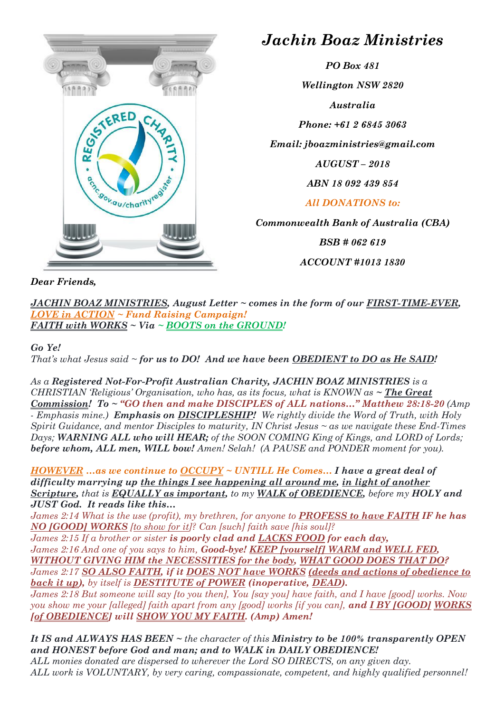

## *Jachin Boaz Ministries*

*PO Box 481 Wellington NSW 2820 Australia Phone: +61 2 6845 3063 Email: jboazministries@gmail.com AUGUST – 2018 ABN 18 092 439 854 All DONATIONS to: Commonwealth Bank of Australia (CBA)*

*BSB # 062 619*

*ACCOUNT #1013 1830*

*Dear Friends,*

*JACHIN BOAZ MINISTRIES, August Letter ~ comes in the form of our FIRST-TIME-EVER, LOVE in ACTION ~ Fund Raising Campaign! FAITH with WORKS ~ Via ~ BOOTS on the GROUND!*

## *Go Ye!*

*That's what Jesus said ~ for us to DO! And we have been OBEDIENT to DO as He SAID!*

*As a Registered Not-For-Profit Australian Charity, JACHIN BOAZ MINISTRIES is a CHRISTIAN 'Religious' Organisation, who has, as its focus, what is KNOWN as ~ The Great Commission! To ~ "GO then and make DISCIPLES of ALL nations…" Matthew 28:18-20 (Amp - Emphasis mine.) Emphasis on DISCIPLESHIP! We rightly divide the Word of Truth, with Holy Spirit Guidance, and mentor Disciples to maturity, IN Christ Jesus ~ as we navigate these End-Times Days; WARNING ALL who will HEAR; of the SOON COMING King of Kings, and LORD of Lords; before whom, ALL men, WILL bow! Amen! Selah! (A PAUSE and PONDER moment for you).*

*HOWEVER …as we continue to OCCUPY ~ UNTILL He Comes… I have a great deal of difficulty marrying up the things I see happening all around me, in light of another Scripture, that is EQUALLY as important, to my WALK of OBEDIENCE, before my HOLY and JUST God. It reads like this…*

*James 2:14 What is the use (profit), my brethren, for anyone to PROFESS to have FAITH IF he has NO [GOOD] WORKS [to show for it]? Can [such] faith save [his soul]?* 

*James 2:15 If a brother or sister is poorly clad and LACKS FOOD for each day, James 2:16 And one of you says to him, Good-bye! KEEP [yourself] WARM and WELL FED, WITHOUT GIVING HIM the NECESSITIES for the body, WHAT GOOD DOES THAT DO? James 2:17 SO ALSO FAITH, if it DOES NOT have WORKS (deeds and actions of obedience to back it up), by itself is DESTITUTE of POWER (inoperative, DEAD).*

*James 2:18 But someone will say [to you then], You [say you] have faith, and I have [good] works. Now you show me your [alleged] faith apart from any [good] works [if you can], and I BY [GOOD] WORKS [of OBEDIENCE] will SHOW YOU MY FAITH. (Amp) Amen!*

*It IS and ALWAYS HAS BEEN ~ the character of this Ministry to be 100% transparently OPEN and HONEST before God and man; and to WALK in DAILY OBEDIENCE! ALL monies donated are dispersed to wherever the Lord SO DIRECTS, on any given day. ALL work is VOLUNTARY, by very caring, compassionate, competent, and highly qualified personnel!*